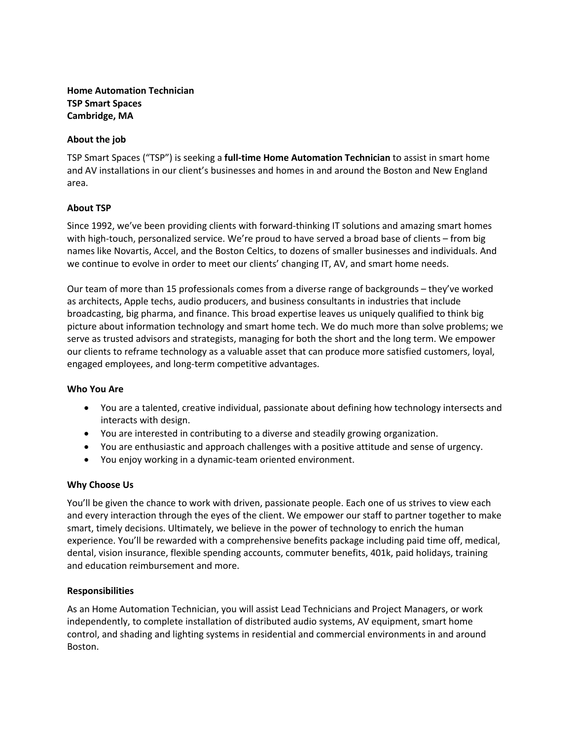# **Home Automation Technician TSP Smart Spaces Cambridge, MA**

## **About the job**

TSP Smart Spaces ("TSP") is seeking a **full-time Home Automation Technician** to assist in smart home and AV installations in our client's businesses and homes in and around the Boston and New England area.

# **About TSP**

Since 1992, we've been providing clients with forward-thinking IT solutions and amazing smart homes with high-touch, personalized service. We're proud to have served a broad base of clients – from big names like Novartis, Accel, and the Boston Celtics, to dozens of smaller businesses and individuals. And we continue to evolve in order to meet our clients' changing IT, AV, and smart home needs.

Our team of more than 15 professionals comes from a diverse range of backgrounds – they've worked as architects, Apple techs, audio producers, and business consultants in industries that include broadcasting, big pharma, and finance. This broad expertise leaves us uniquely qualified to think big picture about information technology and smart home tech. We do much more than solve problems; we serve as trusted advisors and strategists, managing for both the short and the long term. We empower our clients to reframe technology as a valuable asset that can produce more satisfied customers, loyal, engaged employees, and long-term competitive advantages.

## **Who You Are**

- You are a talented, creative individual, passionate about defining how technology intersects and interacts with design.
- You are interested in contributing to a diverse and steadily growing organization.
- You are enthusiastic and approach challenges with a positive attitude and sense of urgency.
- You enjoy working in a dynamic-team oriented environment.

## **Why Choose Us**

You'll be given the chance to work with driven, passionate people. Each one of us strives to view each and every interaction through the eyes of the client. We empower our staff to partner together to make smart, timely decisions. Ultimately, we believe in the power of technology to enrich the human experience. You'll be rewarded with a comprehensive benefits package including paid time off, medical, dental, vision insurance, flexible spending accounts, commuter benefits, 401k, paid holidays, training and education reimbursement and more.

## **Responsibilities**

As an Home Automation Technician, you will assist Lead Technicians and Project Managers, or work independently, to complete installation of distributed audio systems, AV equipment, smart home control, and shading and lighting systems in residential and commercial environments in and around Boston.